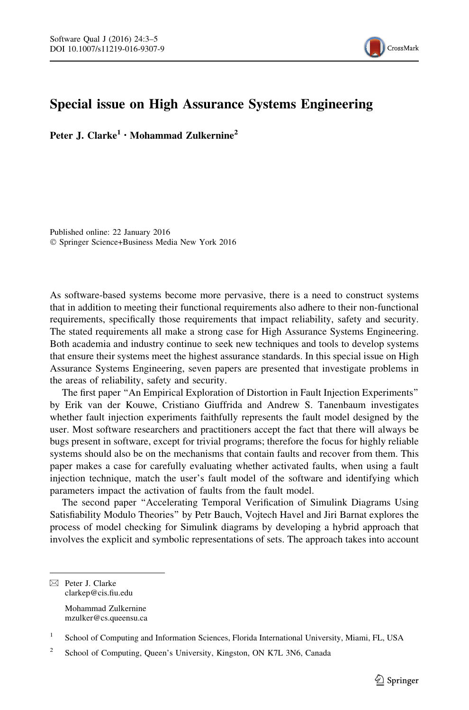

## Special issue on High Assurance Systems Engineering

Peter J. Clarke<sup>1</sup> · Mohammad Zulkernine<sup>2</sup>

Published online: 22 January 2016 - Springer Science+Business Media New York 2016

As software-based systems become more pervasive, there is a need to construct systems that in addition to meeting their functional requirements also adhere to their non-functional requirements, specifically those requirements that impact reliability, safety and security. The stated requirements all make a strong case for High Assurance Systems Engineering. Both academia and industry continue to seek new techniques and tools to develop systems that ensure their systems meet the highest assurance standards. In this special issue on High Assurance Systems Engineering, seven papers are presented that investigate problems in the areas of reliability, safety and security.

The first paper ''An Empirical Exploration of Distortion in Fault Injection Experiments'' by Erik van der Kouwe, Cristiano Giuffrida and Andrew S. Tanenbaum investigates whether fault injection experiments faithfully represents the fault model designed by the user. Most software researchers and practitioners accept the fact that there will always be bugs present in software, except for trivial programs; therefore the focus for highly reliable systems should also be on the mechanisms that contain faults and recover from them. This paper makes a case for carefully evaluating whether activated faults, when using a fault injection technique, match the user's fault model of the software and identifying which parameters impact the activation of faults from the fault model.

The second paper ''Accelerating Temporal Verification of Simulink Diagrams Using Satisfiability Modulo Theories'' by Petr Bauch, Vojtech Havel and Jiri Barnat explores the process of model checking for Simulink diagrams by developing a hybrid approach that involves the explicit and symbolic representations of sets. The approach takes into account

 $\boxtimes$  Peter J. Clarke clarkep@cis.fiu.edu Mohammad Zulkernine mzulker@cs.queensu.ca

<sup>&</sup>lt;sup>1</sup> School of Computing and Information Sciences, Florida International University, Miami, FL, USA

<sup>&</sup>lt;sup>2</sup> School of Computing, Queen's University, Kingston, ON K7L 3N6, Canada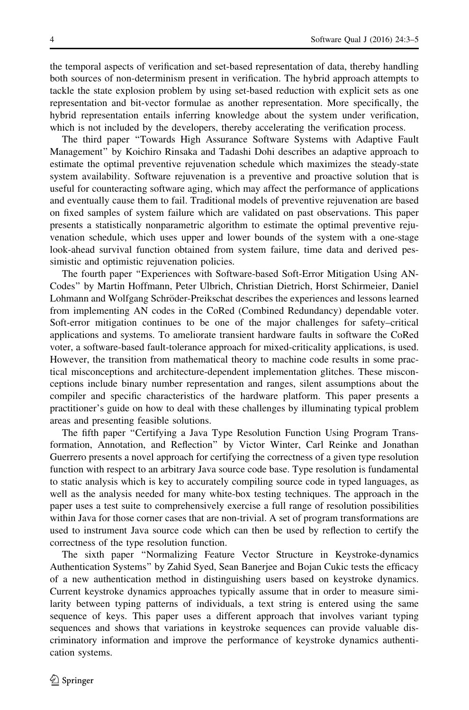the temporal aspects of verification and set-based representation of data, thereby handling both sources of non-determinism present in verification. The hybrid approach attempts to tackle the state explosion problem by using set-based reduction with explicit sets as one representation and bit-vector formulae as another representation. More specifically, the hybrid representation entails inferring knowledge about the system under verification, which is not included by the developers, thereby accelerating the verification process.

The third paper ''Towards High Assurance Software Systems with Adaptive Fault Management'' by Koichiro Rinsaka and Tadashi Dohi describes an adaptive approach to estimate the optimal preventive rejuvenation schedule which maximizes the steady-state system availability. Software rejuvenation is a preventive and proactive solution that is useful for counteracting software aging, which may affect the performance of applications and eventually cause them to fail. Traditional models of preventive rejuvenation are based on fixed samples of system failure which are validated on past observations. This paper presents a statistically nonparametric algorithm to estimate the optimal preventive rejuvenation schedule, which uses upper and lower bounds of the system with a one-stage look-ahead survival function obtained from system failure, time data and derived pessimistic and optimistic rejuvenation policies.

The fourth paper ''Experiences with Software-based Soft-Error Mitigation Using AN-Codes'' by Martin Hoffmann, Peter Ulbrich, Christian Dietrich, Horst Schirmeier, Daniel Lohmann and Wolfgang Schröder-Preikschat describes the experiences and lessons learned from implementing AN codes in the CoRed (Combined Redundancy) dependable voter. Soft-error mitigation continues to be one of the major challenges for safety–critical applications and systems. To ameliorate transient hardware faults in software the CoRed voter, a software-based fault-tolerance approach for mixed-criticality applications, is used. However, the transition from mathematical theory to machine code results in some practical misconceptions and architecture-dependent implementation glitches. These misconceptions include binary number representation and ranges, silent assumptions about the compiler and specific characteristics of the hardware platform. This paper presents a practitioner's guide on how to deal with these challenges by illuminating typical problem areas and presenting feasible solutions.

The fifth paper ''Certifying a Java Type Resolution Function Using Program Transformation, Annotation, and Reflection'' by Victor Winter, Carl Reinke and Jonathan Guerrero presents a novel approach for certifying the correctness of a given type resolution function with respect to an arbitrary Java source code base. Type resolution is fundamental to static analysis which is key to accurately compiling source code in typed languages, as well as the analysis needed for many white-box testing techniques. The approach in the paper uses a test suite to comprehensively exercise a full range of resolution possibilities within Java for those corner cases that are non-trivial. A set of program transformations are used to instrument Java source code which can then be used by reflection to certify the correctness of the type resolution function.

The sixth paper ''Normalizing Feature Vector Structure in Keystroke-dynamics Authentication Systems'' by Zahid Syed, Sean Banerjee and Bojan Cukic tests the efficacy of a new authentication method in distinguishing users based on keystroke dynamics. Current keystroke dynamics approaches typically assume that in order to measure similarity between typing patterns of individuals, a text string is entered using the same sequence of keys. This paper uses a different approach that involves variant typing sequences and shows that variations in keystroke sequences can provide valuable discriminatory information and improve the performance of keystroke dynamics authentication systems.